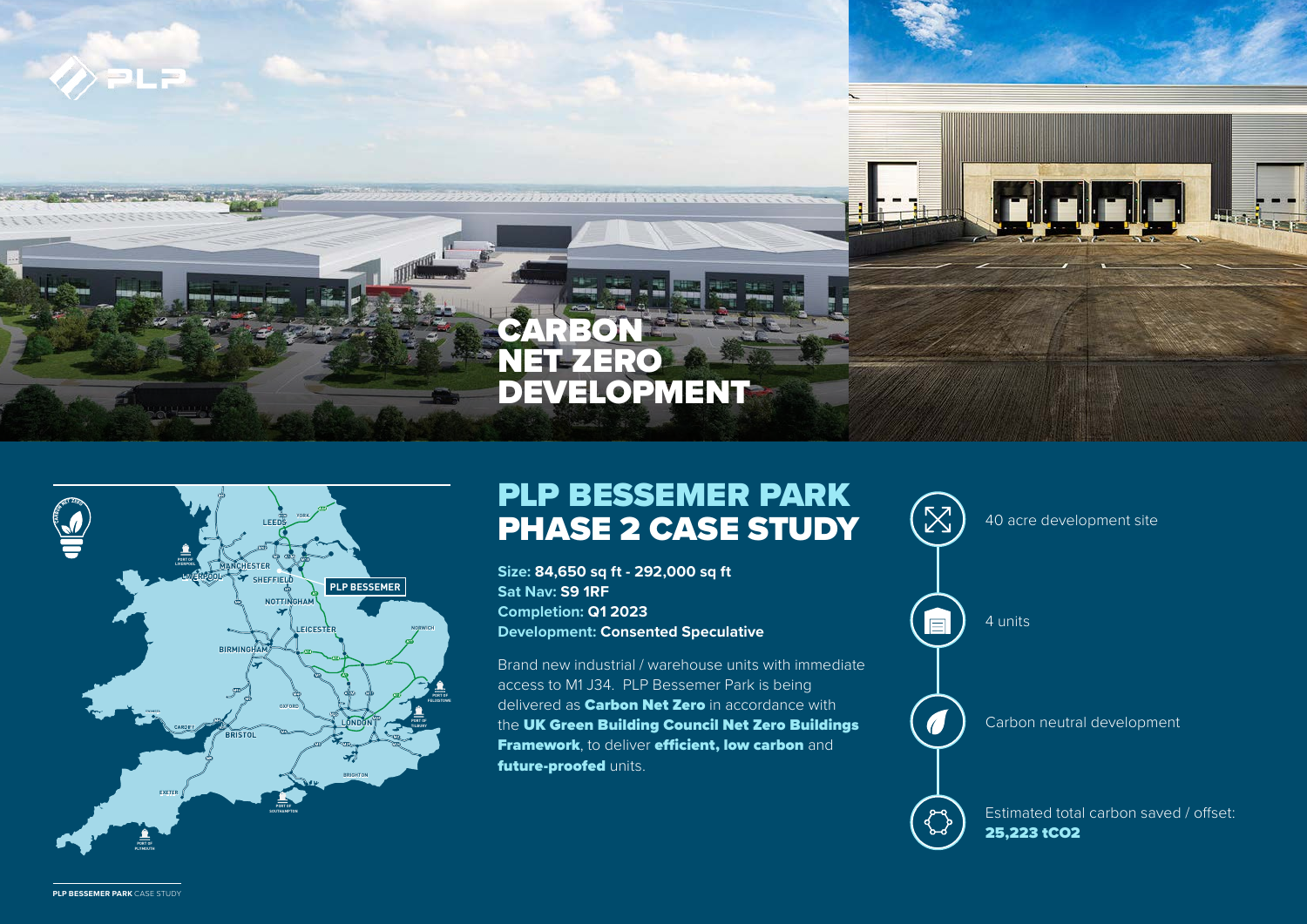



## PLP BESSEMER PARK **PHASE 2 CASE STUDY**  $(\mathbb{X})$  40 acre development site

**Size: 84,650 sq ft - 292,000 sq ft Sat Nav: S9 1RF Completion: Q1 2023 Development: Consented Speculative** 

Brand new industrial / warehouse units with immediate access to M1 J34. PLP Bessemer Park is being delivered as **Carbon Net Zero** in accordance with the UK Green Building Council Net Zero Buildings Framework, to deliver efficient, low carbon and future-proofed units.



**PLP BESSEMER PARK** CASE STUDY